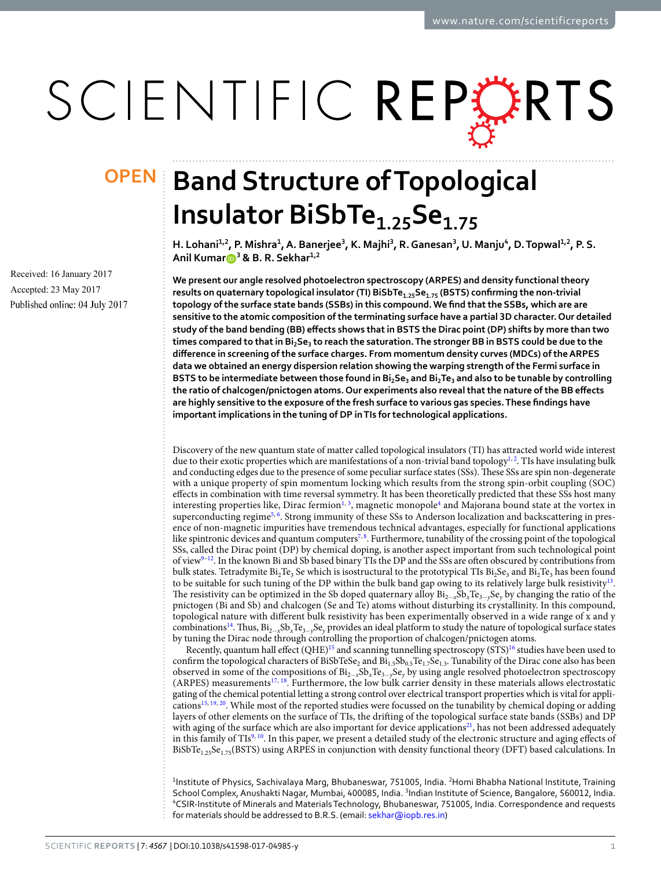# SCIENTIFIC REPERTS

Received: 16 January 2017 Accepted: 23 May 2017 Published online: 04 July 2017

## **OPEN** Band Structure of Topological **Insulator Bisbte1.25se1.75**

H. Lohani<sup>1,2</sup>, P. Mishra<sup>1</sup>, A. Banerjee<sup>3</sup>, K. Majhi<sup>3</sup>, R. Ganesan<sup>3</sup>, U. Manju<sup>4</sup>, D. Topwal<sup>1,2</sup>, P. S. **Anil Kumar <sup>3</sup> & B. R. sekhar1,2**

**We present our angle resolved photoelectron spectroscopy (ARPES) and density functional theory results on quaternary topological insulator (TI) BiSbTe1.25se1.75 (BSTS) confirming the non-trivial topology of the surface state bands (SSBs) in this compound. We find that the SSBs, which are are sensitive to the atomic composition of the terminating surface have a partial 3D character. Our detailed study of the band bending (BB) effects shows that in BSTS the Dirac point (DP) shifts by more than two times compared to that in Bi2se<sup>3</sup> to reach the saturation. The stronger BB in BSTS could be due to the difference in screening of the surface charges. From momentum density curves (MDCs) of the ARPES data we obtained an energy dispersion relation showing the warping strength of the Fermi surface in BSTS to be intermediate between those found in Bi2se<sup>3</sup> and Bi2te<sup>3</sup> and also to be tunable by controlling the ratio of chalcogen/pnictogen atoms. Our experiments also reveal that the nature of the BB effects are highly sensitive to the exposure of the fresh surface to various gas species. These findings have important implications in the tuning of DP in TIs for technological applications.**

Discovery of the new quantum state of matter called topological insulators (TI) has attracted world wide interest due to their exotic properties which are manifestations of a non-trivial band topology<sup>1, 2</sup>. TIs have insulating bulk and conducting edges due to the presence of some peculiar surface states (SSs). These SSs are spin non-degenerate with a unique property of spin momentum locking which results from the strong spin-orbit coupling (SOC) effects in combination with time reversal symmetry. It has been theoretically predicted that these SSs host many interesting properties like, Dirac fermion $^{1,3}$ , magnetic monopole<sup>4</sup> and Majorana bound state at the vortex in superconducting regime<sup>5, 6</sup>. Strong immunity of these SSs to Anderson localization and backscattering in presence of non-magnetic impurities have tremendous technical advantages, especially for functional applications like spintronic devices and quantum computers<sup>7, 8</sup>. Furthermore, tunability of the crossing point of the topological SSs, called the Dirac point (DP) by chemical doping, is another aspect important from such technological point of view9–12. In the known Bi and Sb based binary TIs the DP and the SSs are often obscured by contributions from bulk states. Tetradymite  $Bi_2Te_3$  Se which is isostructural to the prototypical TIs  $Bi_2Se_3$  and  $Bi_2Te_3$  has been found to be suitable for such tuning of the DP within the bulk band gap owing to its relatively large bulk resistivity<sup>13</sup>. The resistivity can be optimized in the Sb doped quaternary alloy  $Bi_{2-x}Sb_xTe_{3-y}Se_y$  by changing the ratio of the pnictogen (Bi and Sb) and chalcogen (Se and Te) atoms without disturbing its crystallinity. In this compound, topological nature with different bulk resistivity has been experimentally observed in a wide range of x and y combinations<sup>14</sup>. Thus,  $Bi_{2-x}Sb_xTe_{3-y}Se_y$  provides an ideal platform to study the nature of topological surface states by tuning the Dirac node through controlling the proportion of chalcogen/pnictogen atoms.

Recently, quantum hall effect (QHE)<sup>15</sup> and scanning tunnelling spectroscopy (STS)<sup>16</sup> studies have been used to confirm the topological characters of BiSbTeSe<sub>2</sub> and  $Bi_{1.5}Sb_{0.5}Te_{1.7}Se_{1.3}$ . Tunability of the Dirac cone also has been observed in some of the compositions of  $Bi_{2-x}sb_xTe_{3-y}Se_y$  by using angle resolved photoelectron spectroscopy (ARPES) measurements<sup>17, 18</sup>. Furthermore, the low bulk carrier density in these materials allows electrostatic gating of the chemical potential letting a strong control over electrical transport properties which is vital for applications15, 19, 20. While most of the reported studies were focussed on the tunability by chemical doping or adding layers of other elements on the surface of TIs, the drifting of the topological surface state bands (SSBs) and DP with aging of the surface which are also important for device applications<sup>21</sup>, has not been addressed adequately in this family of  $TIs^{9,10}$ . In this paper, we present a detailed study of the electronic structure and aging effects of BiSbTe1.25Se1.75(BSTS) using ARPES in conjunction with density functional theory (DFT) based calculations. In

<sup>1</sup>Institute of Physics, Sachivalaya Marg, Bhubaneswar, 751005, India. <sup>2</sup>Homi Bhabha National Institute, Training School Complex, Anushakti Nagar, Mumbai, 400085, India. <sup>3</sup>Indian Institute of Science, Bangalore, 560012, India. <sup>4</sup>CSIR-Institute of Minerals and Materials Technology, Bhubaneswar, 751005, India. Correspondence and requests for materials should be addressed to B.R.S. (email: sekhar@iopb.res.in)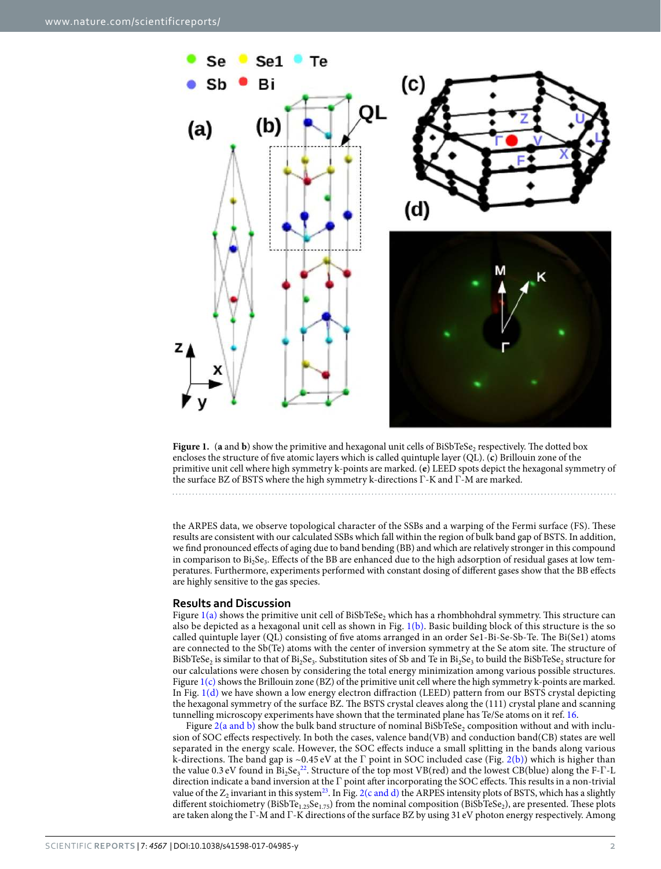

**Figure 1.** (**a** and **b**) show the primitive and hexagonal unit cells of BiSbTeSe<sub>2</sub> respectively. The dotted box encloses the structure of five atomic layers which is called quintuple layer (QL). (**c**) Brillouin zone of the primitive unit cell where high symmetry k-points are marked. (**e**) LEED spots depict the hexagonal symmetry of the surface BZ of BSTS where the high symmetry k-directions Γ-K and Γ-M are marked.

the ARPES data, we observe topological character of the SSBs and a warping of the Fermi surface (FS). These results are consistent with our calculated SSBs which fall within the region of bulk band gap of BSTS. In addition, we find pronounced effects of aging due to band bending (BB) and which are relatively stronger in this compound in comparison to  ${\rm Bi}_2 {\rm Se}_3.$  Effects of the BB are enhanced due to the high adsorption of residual gases at low temperatures. Furthermore, experiments performed with constant dosing of different gases show that the BB effects are highly sensitive to the gas species.

#### **Results and Discussion**

Figure  $1(a)$  shows the primitive unit cell of BiSbTeSe<sub>2</sub> which has a rhombhohdral symmetry. This structure can also be depicted as a hexagonal unit cell as shown in Fig.  $1(b)$ . Basic building block of this structure is the so called quintuple layer (QL) consisting of five atoms arranged in an order Se1-Bi-Se-Sb-Te. The Bi(Se1) atoms are connected to the Sb(Te) atoms with the center of inversion symmetry at the Se atom site. The structure of BiSbTeSe<sub>2</sub> is similar to that of Bi<sub>2</sub>Se<sub>3</sub>. Substitution sites of Sb and Te in Bi<sub>2</sub>Se<sub>3</sub> to build the BiSbTeSe<sub>2</sub> structure for our calculations were chosen by considering the total energy minimization among various possible structures. Figure 1(c) shows the Brillouin zone (BZ) of the primitive unit cell where the high symmetry k-points are marked. In Fig.  $1(d)$  we have shown a low energy electron diffraction (LEED) pattern from our BSTS crystal depicting the hexagonal symmetry of the surface BZ. The BSTS crystal cleaves along the (111) crystal plane and scanning tunnelling microscopy experiments have shown that the terminated plane has Te/Se atoms on it ref. 16.

Figure 2(a and b) show the bulk band structure of nominal BiSbTeSe<sub>2</sub> composition without and with inclusion of SOC effects respectively. In both the cases, valence band(VB) and conduction band(CB) states are well separated in the energy scale. However, the SOC effects induce a small splitting in the bands along various k-directions. The band gap is ~0.45 eV at the Γ point in SOC included case (Fig. 2(b)) which is higher than the value 0.3 eV found in Bi<sub>2</sub>Se<sub>3</sub><sup>22</sup>. Structure of the top most VB(red) and the lowest CB(blue) along the F-Γ-L direction indicate a band inversion at the Γ point after incorporating the SOC effects. This results in a non-trivial value of the  $Z_2$  invariant in this system<sup>23</sup>. In Fig. 2(c and d) the ARPES intensity plots of BSTS, which has a slightly different stoichiometry (BiSbTe<sub>1.25</sub>Se<sub>1.75</sub>) from the nominal composition (BiSbTeSe<sub>2</sub>), are presented. These plots are taken along the Γ-M and Γ-K directions of the surface BZ by using 31 eV photon energy respectively. Among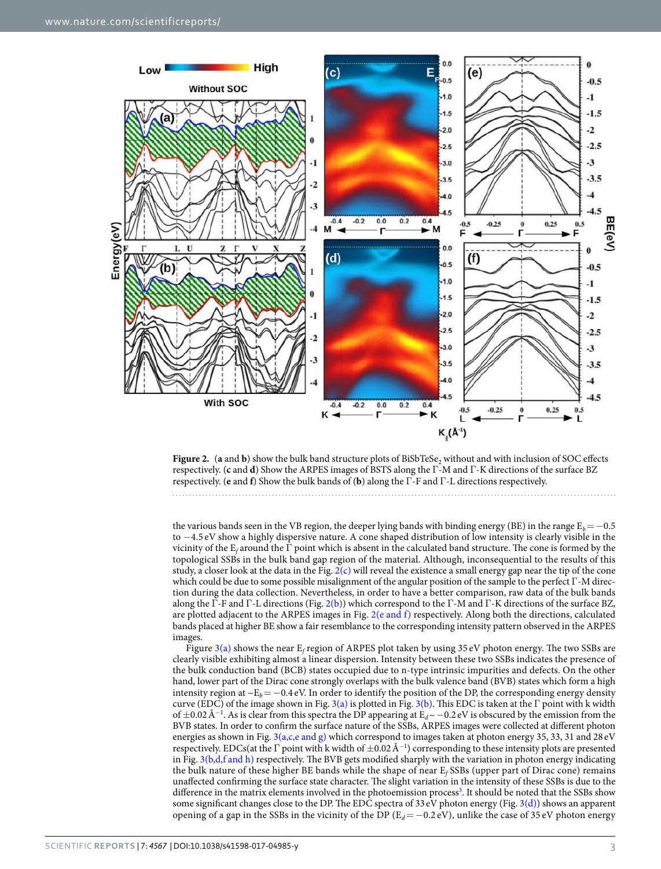

**Figure 2.** (a and **b**) show the bulk band structure plots of BiSbTeSe<sub>2</sub> without and with inclusion of SOC effects respectively. (**c** and **d**) Show the ARPES images of BSTS along the Γ-M and Γ-K directions of the surface BZ respectively. (**e** and **f**) Show the bulk bands of (**b**) along the Γ-F and Γ-L directions respectively.

the various bands seen in the VB region, the deeper lying bands with binding energy (BE) in the range  $E_b=-0.5$ to −4.5 eV show a highly dispersive nature. A cone shaped distribution of low intensity is clearly visible in the vicinity of the  $E_f$  around the  $\Gamma$  point which is absent in the calculated band structure. The cone is formed by the topological SSBs in the bulk band gap region of the material. Although, inconsequential to the results of this study, a closer look at the data in the Fig. 2(c) will reveal the existence a small energy gap near the tip of the cone which could be due to some possible misalignment of the angular position of the sample to the perfect Γ-M direction during the data collection. Nevertheless, in order to have a better comparison, raw data of the bulk bands along the Γ-F and Γ-L directions (Fig. 2(b)) which correspond to the Γ-M and Γ-K directions of the surface BZ, are plotted adjacent to the ARPES images in Fig. 2(e and f) respectively. Along both the directions, calculated bands placed at higher BE show a fair resemblance to the corresponding intensity pattern observed in the ARPES images.

Figure 3(a) shows the near  $E_f$  region of ARPES plot taken by using 35 eV photon energy. The two SSBs are clearly visible exhibiting almost a linear dispersion. Intensity between these two SSBs indicates the presence of the bulk conduction band (BCB) states occupied due to n-type intrinsic impurities and defects. On the other hand, lower part of the Dirac cone strongly overlaps with the bulk valence band (BVB) states which form a high intensity region at  $\sim E_b$ =−0.4 eV. In order to identify the position of the DP, the corresponding energy density curve (EDC) of the image shown in Fig. 3(a) is plotted in Fig. 3(b). This EDC is taken at the Γ point with k width of  $\pm$ 0.02 Å<sup>−1</sup>. As is clear from this spectra the DP appearing at E<sub>d</sub>~ -0.2 eV is obscured by the emission from the BVB states. In order to confirm the surface nature of the SSBs, ARPES images were collected at different photon energies as shown in Fig.  $3(a,c,e$  and g) which correspond to images taken at photon energy 35, 33, 31 and 28 eV respectively. EDCs(at the  $\Gamma$  point with k width of  $\pm 0.02$  Å<sup>-1</sup>) corresponding to these intensity plots are presented in Fig.  $3(b,d,f$  and h) respectively. The BVB gets modified sharply with the variation in photon energy indicating the bulk nature of these higher BE bands while the shape of near  $E_f$  SSBs (upper part of Dirac cone) remains unaffected confirming the surface state character. The slight variation in the intensity of these SSBs is due to the difference in the matrix elements involved in the photoemission process<sup>3</sup>. It should be noted that the SSBs show some significant changes close to the DP. The EDC spectra of 33 eV photon energy (Fig. 3(d)) shows an apparent opening of a gap in the SSBs in the vicinity of the DP ( $E_d = -0.2$  eV), unlike the case of 35 eV photon energy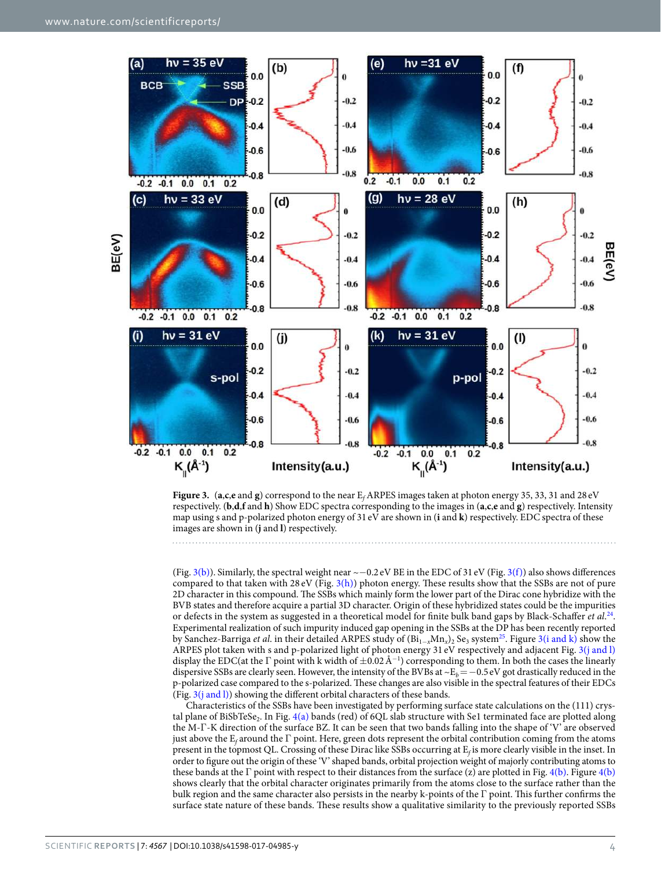



(Fig. 3(b)). Similarly, the spectral weight near  $\sim$  -0.2 eV BE in the EDC of 31 eV (Fig. 3(f)) also shows differences compared to that taken with 28 eV (Fig.  $3(h)$ ) photon energy. These results show that the SSBs are not of pure 2D character in this compound. The SSBs which mainly form the lower part of the Dirac cone hybridize with the BVB states and therefore acquire a partial 3D character. Origin of these hybridized states could be the impurities or defects in the system as suggested in a theoretical model for finite bulk band gaps by Black-Schaffer et al.<sup>24</sup>. Experimental realization of such impurity induced gap opening in the SSBs at the DP has been recently reported by Sanchez-Barriga *et al*. in their detailed ARPES study of  $(Bi_{1-x}Mn_x)_2$  Se<sub>3</sub> system<sup>25</sup>. Figure 3(i and k) show the ARPES plot taken with s and p-polarized light of photon energy 31 eV respectively and adjacent Fig. 3(j and l) display the EDC(at the Γ point with k width of ±0.02 Å<sup>−</sup><sup>1</sup> ) corresponding to them. In both the cases the linearly dispersive SSBs are clearly seen. However, the intensity of the BVBs at ~E<sub>b</sub>=−0.5 eV got drastically reduced in the p-polarized case compared to the s-polarized. These changes are also visible in the spectral features of their EDCs (Fig.  $3(j \text{ and } l)$ ) showing the different orbital characters of these bands.

Characteristics of the SSBs have been investigated by performing surface state calculations on the (111) crystal plane of BiSbTeSe<sub>2</sub>. In Fig. 4(a) bands (red) of 6QL slab structure with Se1 terminated face are plotted along the M-Γ-K direction of the surface BZ. It can be seen that two bands falling into the shape of 'V' are observed just above the  $E_f$  around the  $\Gamma$  point. Here, green dots represent the orbital contribution coming from the atoms present in the topmost QL. Crossing of these Dirac like SSBs occurring at Ef is more clearly visible in the inset. In order to figure out the origin of these 'V' shaped bands, orbital projection weight of majorly contributing atoms to these bands at the Γ point with respect to their distances from the surface (z) are plotted in Fig. 4(b). Figure 4(b) shows clearly that the orbital character originates primarily from the atoms close to the surface rather than the bulk region and the same character also persists in the nearby k-points of the Γ point. This further confirms the surface state nature of these bands. These results show a qualitative similarity to the previously reported SSBs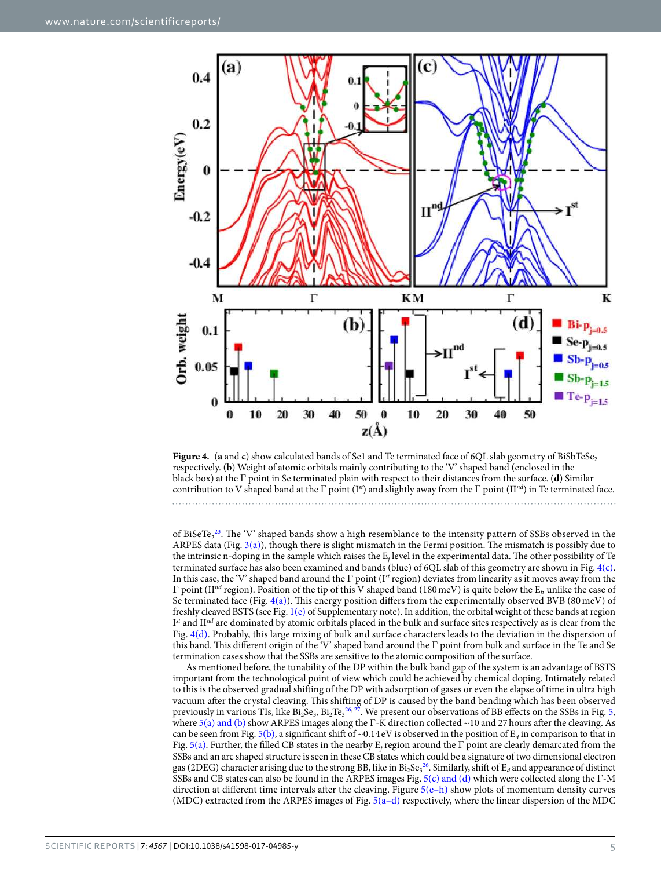

**Figure 4.** (**a** and **c**) show calculated bands of Se1 and Te terminated face of 6QL slab geometry of BiSbTeSe<sub>2</sub> respectively. (**b**) Weight of atomic orbitals mainly contributing to the 'V' shaped band (enclosed in the black box) at the Γ point in Se terminated plain with respect to their distances from the surface. (**d**) Similar contribution to V shaped band at the Γ point (I<sup>st</sup>) and slightly away from the Γ point (II<sup>nd</sup>) in Te terminated face.

of BiSeTe $2^{23}$ . The 'V' shaped bands show a high resemblance to the intensity pattern of SSBs observed in the ARPES data (Fig. 3(a)), though there is slight mismatch in the Fermi position. The mismatch is possibly due to the intrinsic n-doping in the sample which raises the  $E_f$  level in the experimental data. The other possibility of Te terminated surface has also been examined and bands (blue) of 6QL slab of this geometry are shown in Fig. 4(c). In this case, the 'V' shaped band around the Γ point (I<sup>st</sup> region) deviates from linearity as it moves away from the Γ point (II<sup>nd</sup> region). Position of the tip of this V shaped band (180 meV) is quite below the E<sub>β</sub> unlike the case of Se terminated face (Fig. 4(a)). This energy position differs from the experimentally observed BVB (80 meV) of freshly cleaved BSTS (see Fig. 1(e) of Supplementary note). In addition, the orbital weight of these bands at region  $I<sup>st</sup>$  and II<sup>nd</sup> are dominated by atomic orbitals placed in the bulk and surface sites respectively as is clear from the Fig. 4(d). Probably, this large mixing of bulk and surface characters leads to the deviation in the dispersion of this band. This different origin of the 'V' shaped band around the Γ point from bulk and surface in the Te and Se termination cases show that the SSBs are sensitive to the atomic composition of the surface.

As mentioned before, the tunability of the DP within the bulk band gap of the system is an advantage of BSTS important from the technological point of view which could be achieved by chemical doping. Intimately related to this is the observed gradual shifting of the DP with adsorption of gases or even the elapse of time in ultra high vacuum after the crystal cleaving. This shifting of DP is caused by the band bending which has been observed previously in various TIs, like  $Bi_2Se_3$ ,  $Bi_2Te_3^{26,27}$ . We present our observations of BB effects on the SSBs in Fig. 5, where 5(a) and (b) show ARPES images along the Γ-K direction collected ~10 and 27 hours after the cleaving. As can be seen from Fig. 5(b), a significant shift of ~0.14 eV is observed in the position of  $E_d$  in comparison to that in Fig. 5(a). Further, the filled CB states in the nearby  $E_f$  region around the  $\Gamma$  point are clearly demarcated from the SSBs and an arc shaped structure is seen in these CB states which could be a signature of two dimensional electron gas (2DEG) character arising due to the strong BB, like in  $Bi_2Se_3^{26}$ . Similarly, shift of  $E_d$  and appearance of distinct SSBs and CB states can also be found in the ARPES images Fig. 5(c) and (d) which were collected along the Γ-M direction at different time intervals after the cleaving. Figure 5(e–h) show plots of momentum density curves (MDC) extracted from the ARPES images of Fig. 5(a–d) respectively, where the linear dispersion of the MDC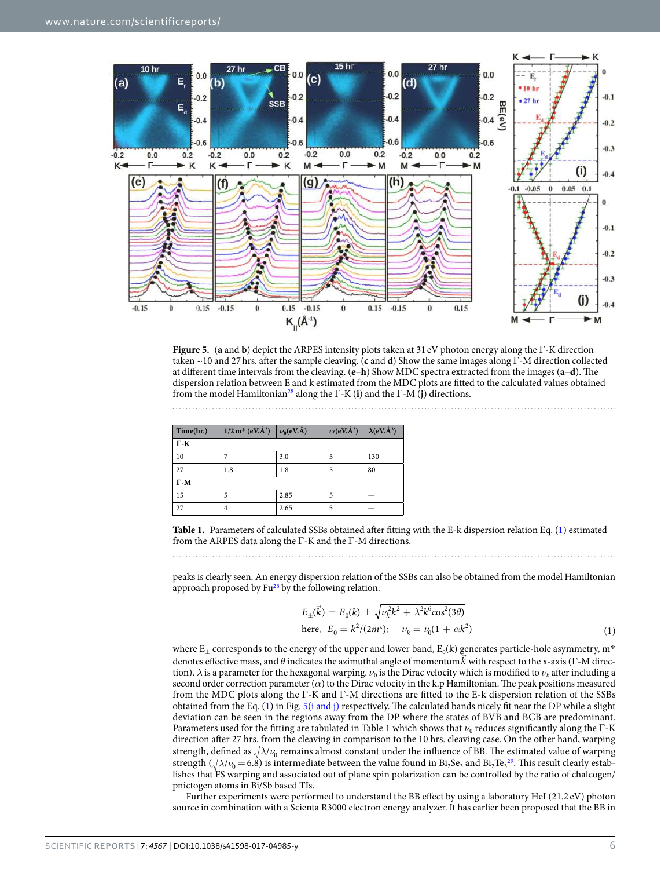

**Figure 5.** (**a** and **b**) depict the ARPES intensity plots taken at 31 eV photon energy along the Γ-K direction taken ~10 and 27 hrs. after the sample cleaving. (**c** and **d**) Show the same images along Γ-M direction collected at different time intervals from the cleaving. (**e**–**h**) Show MDC spectra extracted from the images (**a**–**d**). The dispersion relation between E and k estimated from the MDC plots are fitted to the calculated values obtained from the model Hamiltonian<sup>28</sup> along the Γ-K (**i**) and the Γ-M (**j**) directions.

| Time(hr.)   | $1/2 \text{ m}^* (\text{eV} \text{Å}^3)$ $\nu_0 (\text{eV} \text{Å})$ |      | $\alpha$ (eV.Å <sup>3</sup> ) | $\lambda$ (eV.Å <sup>3</sup> ) |  |  |
|-------------|-----------------------------------------------------------------------|------|-------------------------------|--------------------------------|--|--|
| $\Gamma$ -K |                                                                       |      |                               |                                |  |  |
| 10          |                                                                       | 3.0  |                               | 130                            |  |  |
| 27          | 1.8                                                                   | 1.8  | 5                             | 80                             |  |  |
| $\Gamma$ -M |                                                                       |      |                               |                                |  |  |
| 15          | 5                                                                     | 2.85 | 5                             |                                |  |  |
| 27          | 4                                                                     | 2.65 | 5                             |                                |  |  |

**Table 1.** Parameters of calculated SSBs obtained after fitting with the E-k dispersion relation Eq. (1) estimated from the ARPES data along the Γ-K and the Γ-M directions.

peaks is clearly seen. An energy dispersion relation of the SSBs can also be obtained from the model Hamiltonian approach proposed by  $Fu^{28}$  by the following relation.

$$
E_{\pm}(\vec{k}) = E_0(k) \pm \sqrt{\nu_k^2 k^2 + \lambda^2 k^6 \cos^2(3\theta)}
$$
  
here,  $E_0 = k^2/(2m^*); \quad \nu_k = \nu_0(1 + \alpha k^2)$  (1)

where  $E_{\pm}$  corresponds to the energy of the upper and lower band,  $E_0(k)$  generates particle-hole asymmetry, m<sup>\*</sup> denotes effective mass, and  $\theta$  indicates the azimuthal angle of momentum  $\vec{k}$  with respect to the x-axis (Γ-M direction).  $\lambda$  is a parameter for the hexagonal warping.  $\nu_0$  is the Dirac velocity which is modified to  $\nu_k$  after including a second order correction parameter (*α*) to the Dirac velocity in the k.p Hamiltonian. The peak positions measured from the MDC plots along the Γ-K and Γ-M directions are fitted to the E-k dispersion relation of the SSBs obtained from the Eq. (1) in Fig. 5(i and j) respectively. The calculated bands nicely fit near the DP while a slight deviation can be seen in the regions away from the DP where the states of BVB and BCB are predominant. Parameters used for the fitting are tabulated in Table 1 which shows that  $ν_0$  reduces significantly along the Γ-K direction after 27 hrs. from the cleaving in comparison to the 10 hrs. cleaving case. On the other hand, warping strength, defined as  $\sqrt{\lambda/\nu_0}$  remains almost constant under the influence of BB. The estimated value of warping strength ( $\sqrt{\lambda/\nu_0}$  = 6.8) is intermediate between the value found in Bi<sub>2</sub>Se<sub>3</sub> and Bi<sub>2</sub>Te<sub>3</sub><sup>29</sup>. This result clearly establishes that FS warping and associated out of plane spin polarization can be controlled by the ratio of chalcogen/ pnictogen atoms in Bi/Sb based TIs.

Further experiments were performed to understand the BB effect by using a laboratory HeI (21.2 eV) photon source in combination with a Scienta R3000 electron energy analyzer. It has earlier been proposed that the BB in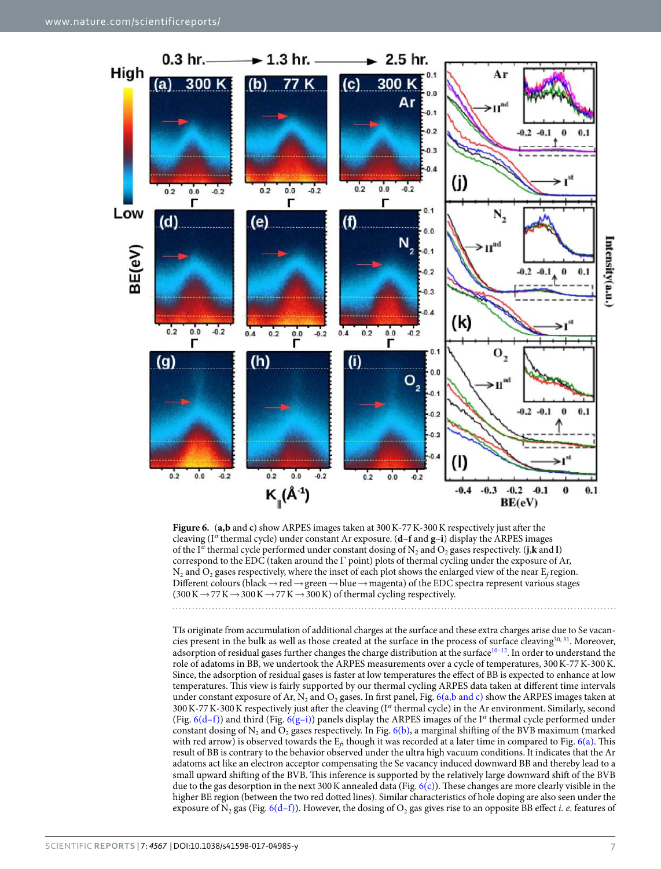

**Figure 6.** (**a,b** and **c**) show ARPES images taken at 300 K-77 K-300 K respectively just after the cleaving (Ist thermal cycle) under constant Ar exposure. (**d**–**f** and **g**–**i**) display the ARPES images of the I<sup>st</sup> thermal cycle performed under constant dosing of  $N_2$  and  $O_2$  gases respectively. (**j**,**k** and **l**) correspond to the EDC (taken around the  $\Gamma$  point) plots of thermal cycling under the exposure of Ar,  $N_2$  and  $O_2$  gases respectively, where the inset of each plot shows the enlarged view of the near  $E_f$  region. Different colours (black → red → green → blue → magenta) of the EDC spectra represent various stages  $(300 \text{ K} \rightarrow 77 \text{ K} \rightarrow 300 \text{ K} \rightarrow 77 \text{ K} \rightarrow 300 \text{ K})$  of thermal cycling respectively.

TIs originate from accumulation of additional charges at the surface and these extra charges arise due to Se vacancies present in the bulk as well as those created at the surface in the process of surface cleaving<sup>30, 31</sup>. Moreover, adsorption of residual gases further changes the charge distribution at the surface<sup>10-12</sup>. In order to understand the role of adatoms in BB, we undertook the ARPES measurements over a cycle of temperatures, 300 K-77 K-300 K. Since, the adsorption of residual gases is faster at low temperatures the effect of BB is expected to enhance at low temperatures. This view is fairly supported by our thermal cycling ARPES data taken at different time intervals under constant exposure of Ar,  $N_2$  and  $O_2$  gases. In first panel, Fig. 6(a,b and c) show the ARPES images taken at  $300 K-77 K-300 K$  respectively just after the cleaving (Ist thermal cycle) in the Ar environment. Similarly, second (Fig. 6(d–f)) and third (Fig. 6(g–i)) panels display the ARPES images of the I<sup>st</sup> thermal cycle performed under constant dosing of  $N_2$  and  $O_2$  gases respectively. In Fig. 6(b), a marginal shifting of the BVB maximum (marked with red arrow) is observed towards the  $E_f$  though it was recorded at a later time in compared to Fig. 6(a). This result of BB is contrary to the behavior observed under the ultra high vacuum conditions. It indicates that the Ar adatoms act like an electron acceptor compensating the Se vacancy induced downward BB and thereby lead to a small upward shifting of the BVB. This inference is supported by the relatively large downward shift of the BVB due to the gas desorption in the next 300 K annealed data (Fig.  $6(c)$ ). These changes are more clearly visible in the higher BE region (between the two red dotted lines). Similar characteristics of hole doping are also seen under the exposure of N<sub>2</sub> gas (Fig. 6(d-f)). However, the dosing of O<sub>2</sub> gas gives rise to an opposite BB effect *i. e.* features of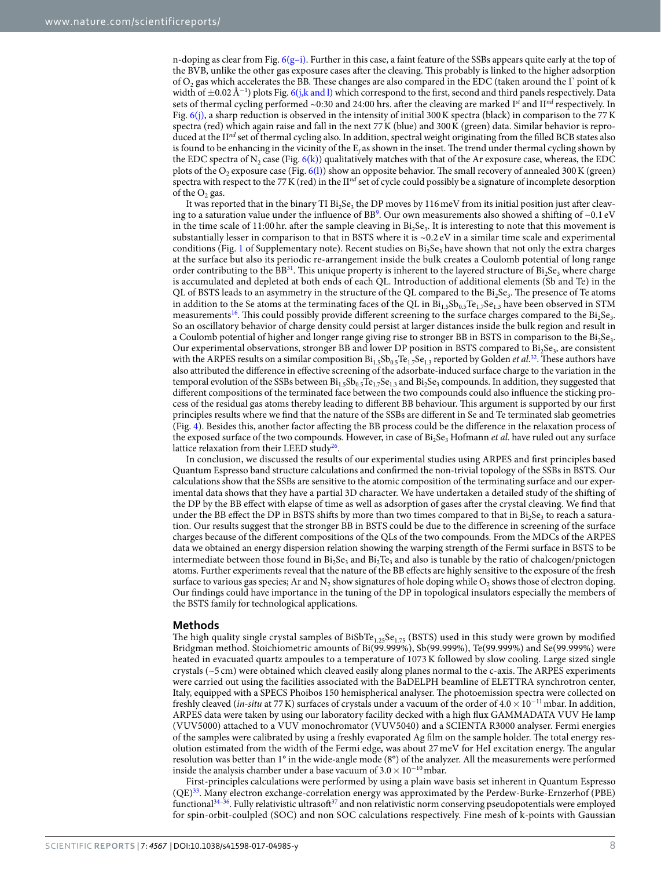n-doping as clear from Fig.  $6(g-i)$ . Further in this case, a faint feature of the SSBs appears quite early at the top of the BVB, unlike the other gas exposure cases after the cleaving. This probably is linked to the higher adsorption of O<sub>2</sub> gas which accelerates the BB. These changes are also compared in the EDC (taken around the  $\Gamma$  point of k width of ±0.02 Å<sup>-1</sup>) plots Fig. 6(j,k and l) which correspond to the first, second and third panels respectively. Data sets of thermal cycling performed ~0:30 and 24:00 hrs. after the cleaving are marked  $I^{st}$  and  $II^{nd}$  respectively. In Fig.  $6(j)$ , a sharp reduction is observed in the intensity of initial 300 K spectra (black) in comparison to the 77 K spectra (red) which again raise and fall in the next 77 K (blue) and 300 K (green) data. Similar behavior is reproduced at the  $II<sup>nd</sup>$  set of thermal cycling also. In addition, spectral weight originating from the filled BCB states also is found to be enhancing in the vicinity of the  $\rm E_f$  as shown in the inset. The trend under thermal cycling shown by the EDC spectra of N<sub>2</sub> case (Fig. 6(k)) qualitatively matches with that of the Ar exposure case, whereas, the EDC plots of the O<sub>2</sub> exposure case (Fig. 6(l)) show an opposite behavior. The small recovery of annealed 300 K (green) spectra with respect to the 77 K (red) in the  $I<sup>nd</sup>$  set of cycle could possibly be a signature of incomplete desorption of the  $O_2$  gas.

It was reported that in the binary TI  $Bi_2Se_3$  the DP moves by 116 meV from its initial position just after cleaving to a saturation value under the influence of BB<sup>9</sup>. Our own measurements also showed a shifting of ~0.1 eV in the time scale of  $11:00$  hr. after the sample cleaving in  $Bi_2Se_3$ . It is interesting to note that this movement is substantially lesser in comparison to that in BSTS where it is ~0.2 eV in a similar time scale and experimental conditions (Fig. 1 of Supplementary note). Recent studies on  $Bi_2Se_3$  have shown that not only the extra charges at the surface but also its periodic re-arrangement inside the bulk creates a Coulomb potential of long range order contributing to the  $BB^{31}$ . This unique property is inherent to the layered structure of  $Bi_2Se_3$  where charge is accumulated and depleted at both ends of each QL. Introduction of additional elements (Sb and Te) in the QL of BSTS leads to an asymmetry in the structure of the QL compared to the  $Bi_2Se_3$ . The presence of Te atoms in addition to the Se atoms at the terminating faces of the QL in  $Bi_{1.5}Sb_{0.5}Te_{1.7}Se_{1.3}$  have been observed in STM measurements<sup>16</sup>. This could possibly provide different screening to the surface charges compared to the  $Bi_2Se_3$ . So an oscillatory behavior of charge density could persist at larger distances inside the bulk region and result in a Coulomb potential of higher and longer range giving rise to stronger BB in BSTS in comparison to the  $Bi_2Se_3$ . Our experimental observations, stronger BB and lower DP position in BSTS compared to  $Bi_2Se_3$ , are consistent with the ARPES results on a similar composition  $Bi_{1.5}Sb_{0.5}Te_{1.7}Se_{1.3}$  reported by Golden *et al.*<sup>32</sup>. These authors have also attributed the difference in effective screening of the adsorbate-induced surface charge to the variation in the temporal evolution of the SSBs between  $B_{1.5}Sb_{0.5}Te_{1.7}Se_{1.3}$  and  $B_{12}Se_3$  compounds. In addition, they suggested that different compositions of the terminated face between the two compounds could also influence the sticking process of the residual gas atoms thereby leading to different BB behaviour. This argument is supported by our first principles results where we find that the nature of the SSBs are different in Se and Te terminated slab geometries (Fig. 4). Besides this, another factor affecting the BB process could be the difference in the relaxation process of the exposed surface of the two compounds. However, in case of Bi<sub>2</sub>Se<sub>3</sub> Hofmann *et al*. have ruled out any surface lattice relaxation from their LEED study<sup>26</sup>.

In conclusion, we discussed the results of our experimental studies using ARPES and first principles based Quantum Espresso band structure calculations and confirmed the non-trivial topology of the SSBs in BSTS. Our calculations show that the SSBs are sensitive to the atomic composition of the terminating surface and our experimental data shows that they have a partial 3D character. We have undertaken a detailed study of the shifting of the DP by the BB effect with elapse of time as well as adsorption of gases after the crystal cleaving. We find that under the BB effect the DP in BSTS shifts by more than two times compared to that in  $Bi_2Se_3$  to reach a saturation. Our results suggest that the stronger BB in BSTS could be due to the difference in screening of the surface charges because of the different compositions of the QLs of the two compounds. From the MDCs of the ARPES data we obtained an energy dispersion relation showing the warping strength of the Fermi surface in BSTS to be intermediate between those found in  ${\rm Bi}_2{\rm Se}_3$  and  ${\rm Bi}_2{\rm Te}_3$  and also is tunable by the ratio of chalcogen/pnictogen atoms. Further experiments reveal that the nature of the BB effects are highly sensitive to the exposure of the fresh surface to various gas species; Ar and  $N_2$  show signatures of hole doping while  $O_2$  shows those of electron doping. Our findings could have importance in the tuning of the DP in topological insulators especially the members of the BSTS family for technological applications.

#### **Methods**

The high quality single crystal samples of  $BisbTe_{1.25}Se_{1.75}$  (BSTS) used in this study were grown by modified Bridgman method. Stoichiometric amounts of Bi(99.999%), Sb(99.999%), Te(99.999%) and Se(99.999%) were heated in evacuated quartz ampoules to a temperature of 1073 K followed by slow cooling. Large sized single crystals (~5 cm) were obtained which cleaved easily along planes normal to the c-axis. The ARPES experiments were carried out using the facilities associated with the BaDELPH beamline of ELETTRA synchrotron center, Italy, equipped with a SPECS Phoibos 150 hemispherical analyser. The photoemission spectra were collected on freshly cleaved (in-situ at 77 K) surfaces of crystals under a vacuum of the order of  $4.0 \times 10^{-11}$  mbar. In addition, ARPES data were taken by using our laboratory facility decked with a high flux GAMMADATA VUV He lamp (VUV5000) attached to a VUV monochromator (VUV5040) and a SCIENTA R3000 analyser. Fermi energies of the samples were calibrated by using a freshly evaporated Ag film on the sample holder. The total energy resolution estimated from the width of the Fermi edge, was about 27 meV for HeI excitation energy. The angular resolution was better than 1° in the wide-angle mode (8°) of the analyzer. All the measurements were performed inside the analysis chamber under a base vacuum of  $3.0 \times 10^{-10}$  mbar.

First-principles calculations were performed by using a plain wave basis set inherent in Quantum Espresso (QE)<sup>33</sup>. Many electron exchange-correlation energy was approximated by the Perdew-Burke-Ernzerhof (PBE) functional<sup>34–36</sup>. Fully relativistic ultrasoft<sup>37</sup> and non relativistic norm conserving pseudopotentials were employed for spin-orbit-coulpled (SOC) and non SOC calculations respectively. Fine mesh of k-points with Gaussian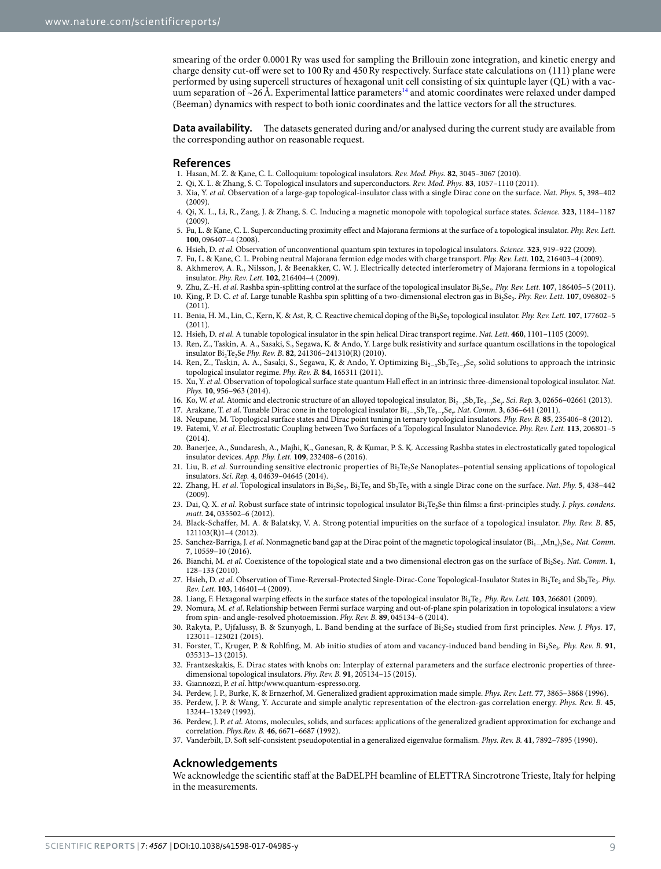smearing of the order 0.0001 Ry was used for sampling the Brillouin zone integration, and kinetic energy and charge density cut-off were set to 100 Ry and 450 Ry respectively. Surface state calculations on (111) plane were performed by using supercell structures of hexagonal unit cell consisting of six quintuple layer (QL) with a vacuum separation of  $\sim$ 26 Å. Experimental lattice parameters<sup>14</sup> and atomic coordinates were relaxed under damped (Beeman) dynamics with respect to both ionic coordinates and the lattice vectors for all the structures.

**Data availability.** The datasets generated during and/or analysed during the current study are available from the corresponding author on reasonable request.

#### **References**

- 1. Hasan, M. Z. & Kane, C. L. Colloquium: topological insulators. Rev. Mod. Phys. **82**, 3045–3067 (2010).
- 2. Qi, X. L. & Zhang, S. C. Topological insulators and superconductors. Rev. Mod. Phys. **83**, 1057–1110 (2011).
- 3. Xia, Y. et al. Observation of a large-gap topological-insulator class with a single Dirac cone on the surface. Nat. Phys. **5**, 398–402  $(2009)$
- 4. Qi, X. L., Li, R., Zang, J. & Zhang, S. C. Inducing a magnetic monopole with topological surface states. Science. **323**, 1184–1187  $(2009)$
- 5. Fu, L. & Kane, C. L. Superconducting proximity effect and Majorana fermions at the surface of a topological insulator. Phy. Rev. Lett. **100**, 096407–4 (2008).
- 6. Hsieh, D. et al. Observation of unconventional quantum spin textures in topological insulators. Science. **323**, 919–922 (2009).
- 7. Fu, L. & Kane, C. L. Probing neutral Majorana fermion edge modes with charge transport. Phy. Rev. Lett. **102**, 216403–4 (2009).
- 8. Akhmerov, A. R., Nilsson, J. & Beenakker, C. W. J. Electrically detected interferometry of Majorana fermions in a topological insulator. Phy. Rev. Lett. **102**, 216404–4 (2009).
- 9. Zhu, Z.-H. et al. Rashba spin-splitting control at the surface of the topological insulator Bi<sub>2</sub>Se<sub>3</sub>. Phy. Rev. Lett. **107**, 186405-5 (2011). 10. King, P. D. C. et al. Large tunable Rashba spin splitting of a two-dimensional electron gas in Bi<sub>2</sub>Se<sub>3</sub>. Phy. Rev. Lett. **107**, 096802-5  $(2011)$
- 11. Benia, H. M., Lin, C., Kern, K. & Ast, R. C. Reactive chemical doping of the Bi<sub>2</sub>Se<sub>3</sub> topological insulator. *Phy. Rev. Lett.* **107**, 177602-5 (2011).
- 12. Hsieh, D. et al. A tunable topological insulator in the spin helical Dirac transport regime. Nat. Lett. **460**, 1101–1105 (2009).
- 13. Ren, Z., Taskin, A. A., Sasaki, S., Segawa, K. & Ando, Y. Large bulk resistivity and surface quantum oscillations in the topological insulator Bi<sub>2</sub>Te<sub>2</sub>Se *Phy. Rev. B.* 82, 241306–241310(R) (2010).
- 14. Ren, Z., Taskin, A. A., Sasaki, S., Segawa, K. & Ando, Y. Optimizing Bi<sub>2−x</sub>Sb<sub>x</sub>Te<sub>3−y</sub>Se<sub>y</sub> solid solutions to approach the intrinsic topological insulator regime. Phy. Rev. B. **84**, 165311 (2011).
- 15. Xu, Y. et al. Observation of topological surface state quantum Hall effect in an intrinsic three-dimensional topological insulator. Nat. Phys. **10**, 956–963 (2014).
- 16. Ko, W. et al. Atomic and electronic structure of an alloyed topological insulator, Bi2−xSbxTe3−ySe<sup>y</sup> . Sci. Rep. **3**, 02656–02661 (2013).
- 17. Arakane, T. et al. Tunable Dirac cone in the topological insulator Bi2−xSbxTe3−ySe<sup>y</sup> . Nat. Comm. **3**, 636–641 (2011).
- 18. Neupane, M. Topological surface states and Dirac point tuning in ternary topological insulators. Phy. Rev. B. **85**, 235406–8 (2012).
- 19. Fatemi, V. et al. Electrostatic Coupling between Two Surfaces of a Topological Insulator Nanodevice. Phy. Rev. Lett. **113**, 206801–5  $(2014)$
- 20. Banerjee, A., Sundaresh, A., Majhi, K., Ganesan, R. & Kumar, P. S. K. Accessing Rashba states in electrostatically gated topological insulator devices. App. Phy. Lett. **109**, 232408–6 (2016).
- 21. Liu, B. et al. Surrounding sensitive electronic properties of Bi<sub>2</sub>Te<sub>2</sub>Se Nanoplates-potential sensing applications of topological insulators. Sci. Rep. **4**, 04639–04645 (2014).
- 22. Zhang, H. *et al.* Topological insulators in Bi<sub>2</sub>Se<sub>3</sub>, Bi<sub>2</sub>Te<sub>3</sub> and Sb<sub>2</sub>Te<sub>3</sub> with a single Dirac cone on the surface. *Nat. Phy.* **5**, 438–442 (2009).
- 23. Dai, Q. X. et al. Robust surface state of intrinsic topological insulator Bi<sub>2</sub>Te<sub>2</sub>Se thin films: a first-principles study. J. phys. condens. matt. **24**, 035502–6 (2012).
- 24. Black-Schaffer, M. A. & Balatsky, V. A. Strong potential impurities on the surface of a topological insulator. Phy. Rev. B. **85**, 121103(R)1–4 (2012).
- 25. Sanchez-Barriga, J. *et al*. Nonmagnetic band gap at the Dirac point of the magnetic topological insulator (Bi<sub>1−x</sub>Mn<sub>x</sub>)<sub>2</sub>Se<sub>3</sub>. *Nat. Comm*. **7**, 10559–10 (2016).
- 26. Bianchi, M. et al. Coexistence of the topological state and a two dimensional electron gas on the surface of Bi<sub>2</sub>Se<sub>3</sub>. Nat. Comm. 1, 128–133 (2010).
- 27. Hsieh, D. et al. Observation of Time-Reversal-Protected Single-Dirac-Cone Topological-Insulator States in Bi<sub>2</sub>Te<sub>2</sub> and Sb<sub>2</sub>Te<sub>3</sub>. Phy. Rev. Lett. **103**, 146401–4 (2009).
- 28. Liang, F. Hexagonal warping effects in the surface states of the topological insulator Bi<sub>2</sub>Te<sub>3</sub>. *Phy. Rev. Lett.* **103**, 266801 (2009).
- 29. Nomura, M. et al. Relationship between Fermi surface warping and out-of-plane spin polarization in topological insulators: a view from spin- and angle-resolved photoemission. Phy. Rev. B. **89**, 045134–6 (2014).
- 30. Rakyta, P., Ujfalussy, B. & Szunyogh, L. Band bending at the surface of Bi<sub>2</sub>Se<sub>3</sub> studied from first principles. New. J. Phys. 17, 123011–123021 (2015).
- 31. Forster, T., Kruger, P. & Rohlfing, M. Ab initio studies of atom and vacancy-induced band bending in Bi<sub>2</sub>Se<sub>3</sub>. Phy. Rev. B. 91, 035313–13 (2015).
- 32. Frantzeskakis, E. Dirac states with knobs on: Interplay of external parameters and the surface electronic properties of threedimensional topological insulators. Phy. Rev. B. **91**, 205134–15 (2015).
- 33. Giannozzi, P. et al. http:/www.quantum-espresso.org.
- 34. Perdew, J. P., Burke, K. & Ernzerhof, M. Generalized gradient approximation made simple. Phys. Rev. Lett. **77**, 3865–3868 (1996).
- 35. Perdew, J. P. & Wang, Y. Accurate and simple analytic representation of the electron-gas correlation energy. Phys. Rev. B. **45**, 13244–13249 (1992).
- 36. Perdew, J. P. et al. Atoms, molecules, solids, and surfaces: applications of the generalized gradient approximation for exchange and correlation. Phys.Rev. B. **46**, 6671–6687 (1992).
- 37. Vanderbilt, D. Soft self-consistent pseudopotential in a generalized eigenvalue formalism. Phys. Rev. B. **41**, 7892–7895 (1990).

#### **Acknowledgements**

We acknowledge the scientific staff at the BaDELPH beamline of ELETTRA Sincrotrone Trieste, Italy for helping in the measurements.